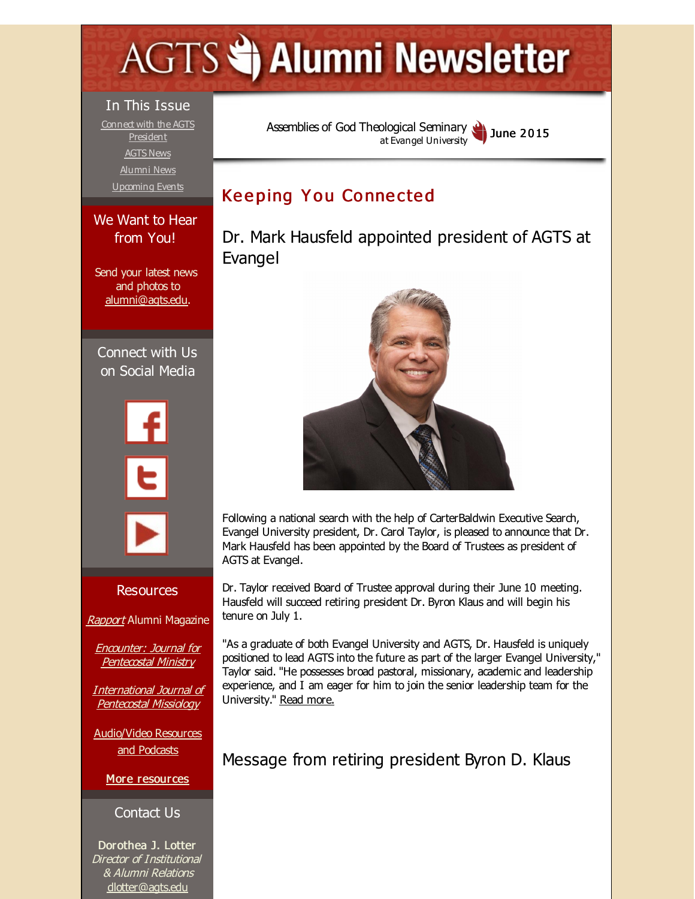# <span id="page-0-0"></span>**AGTS Statement Newsletter**

#### In This Issue

Connect with the AGTS [President](#page-0-0) [AGTS](#page-0-0) News [Alumni](#page-0-0) News [Upcoming](#page-0-0) Events

#### We Want to Hear from You!

Send your latest news and photos to [alumni@agts.edu](mailto:alumni@agts.edu).

Connect with Us on Social Media





#### Resources

[Rapport](http://r20.rs6.net/tn.jsp?f=001C0lBCH1btSxn-XjbGQ1Cv2tQQhMGfgCRFiCmFFypQag_nBHdgWnEc08gUjwvEZ0Nf9kMuJvW2NTV6Dzx9d4GxJndNHqn4tcuJWKC0q6R0IcMnzoEWTPe0lg-9xrU3jRrWOMEVr0WqBgaBXmS9-h6mcsB_ua0D_VN56r7x1huwtJS7qJXe0ZGSE6cGgZxtSII&c=&ch=) Alumni Magazine

Encounter: Journal for [Pentecostal](http://r20.rs6.net/tn.jsp?f=001C0lBCH1btSxn-XjbGQ1Cv2tQQhMGfgCRFiCmFFypQag_nBHdgWnEc-ef2u0WEcl8SfxF3HxStQEvQTxgW5xCodlOe3IxREEKNKC7LfaK28LQwDF-zNwAvtPToQvbKMp1yY_YdHcuUmPCGJmj4Cw8ZEsw7ptTqU5IltadONSwJHq7uxGgnDHaIIr3lB4c2Zaz&c=&ch=) Ministry

[International](http://r20.rs6.net/tn.jsp?f=001C0lBCH1btSxn-XjbGQ1Cv2tQQhMGfgCRFiCmFFypQag_nBHdgWnEc1z8Dk3X01qD6ntpI7dcATwAttsrhcDbIPAMgHRISZD29xxuipjl9YbFP09DUvjds8YaqNMTlwBd0PYeJUg48iX7ewZG_9TlvPuO1Bj2Mh802P_urPDsbaQE4YaebyGqg2j0Fy1J9H4d&c=&ch=) Journal of Pentecostal Missiology

[Audio/Video](http://r20.rs6.net/tn.jsp?f=001C0lBCH1btSxn-XjbGQ1Cv2tQQhMGfgCRFiCmFFypQag_nBHdgWnEc_7uNPpHqjZCqiwOea3z0r23rnQfmgsFQO-7ikWPXlNZKMqIiZGKEn4SapJDvYIUW0Yzt9k99fkTTlf-nlruDTXcTWBVPf0D8Tqvw9cTa16Ibc6_gzsr-XIzTYXyNtBs6qnlwoD-IFU7&c=&ch=) Resources and Podcasts

More [resources](http://r20.rs6.net/tn.jsp?f=001C0lBCH1btSxn-XjbGQ1Cv2tQQhMGfgCRFiCmFFypQag_nBHdgWnEcxmLJETGYq4yLiV8D-0RUEKTcv5Z496RwVIUPTsrPNSzpCO7Z9mKp9f8zDy_ZcmwqjAx02nE98L3o3CYNJZrSvPMl_Rp-jsY0-JfqMBU_7Fizo1u0k7fR0P1Alxk3yVhgi5sRCfOogVmPJuuwdAJJSY=&c=&ch=)

#### Contact Us

Dorothea J. Lotter Director of Institutional & Alumni Relations [dlotter@agts.edu](mailto:dlotter@agts.edu)

Assemblies of God [Theological](http://r20.rs6.net/tn.jsp?f=001C0lBCH1btSxn-XjbGQ1Cv2tQQhMGfgCRFiCmFFypQag_nBHdgWnEc6x4BXA-xvOlloobd8Ur8jFAxzy8OZdr0Cu1YxP80YJtFyZ8RvjzBdW2udQeqlAW38eOXCKsV6GwvpGbzSl2iWbEZOqH92la7w9NZU-5d-J0&c=&ch=) Seminary at Evangel University June 2015

## **Keeping You Connected**

Dr. Mark Hausfeld appointed president of AGTS at Evangel



Following a national search with the help of CarterBaldwin Executive Search, Evangel University president, Dr. Carol Taylor, is pleased to announce that Dr. Mark Hausfeld has been appointed by the Board of Trustees as president of AGTS at Evangel.

Dr. Taylor received Board of Trustee approval during their June 10 meeting. Hausfeld will succeed retiring president Dr. Byron Klaus and will begin his tenure on July 1.

"As a graduate of both Evangel University and AGTS, Dr. Hausfeld is uniquely positioned to lead AGTS into the future as part of the larger Evangel University," Taylor said. "He possesses broad pastoral, missionary, academic and leadership experience, and I am eager for him to join the senior leadership team for the University." Read [more.](http://r20.rs6.net/tn.jsp?f=001C0lBCH1btSxn-XjbGQ1Cv2tQQhMGfgCRFiCmFFypQag_nBHdgWnEc8bUbruT0-GdLGF7snc7Hd8nd3CcXY4QRmXhfY5CSlz-cvP6QzbKEl1Fu-X_vJxKMc9FWr73SI7EvkEWWe_bbH---8xK2to-eRCRXNGcUIOd-MU744bZgi87XRTTegyA5w==&c=&ch=)

Message from retiring president Byron D. Klaus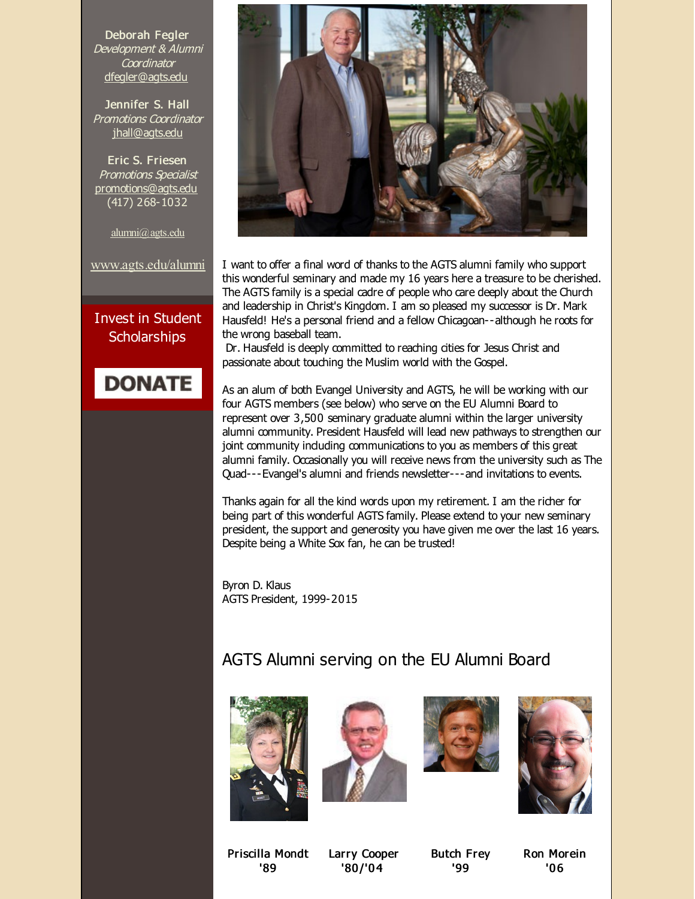Deborah Fegler Development & Alumni **Coordinator** [dfegler@agts.edu](mailto:dfegler@agts.edu)

Jennifer S. Hall Promotions Coordinator [jhall@agts.edu](mailto:jhall@agts.edu)

Eric S. Friesen Promotions Specialist [promotions@agts.edu](mailto:promotions@agts.edu) (417) 268-1032

[alumni@agts.edu](mailto:alumni@agts.edu)

[www.agts.edu/alumni](http://r20.rs6.net/tn.jsp?f=001C0lBCH1btSxn-XjbGQ1Cv2tQQhMGfgCRFiCmFFypQag_nBHdgWnEc8ql0KUXspIKPaTGGH7AVAxkXNM10gUjfZQePN8NflYtIGeGr0vT_Bq4AHZUxFGgQRHafNZ-tEPc4wR8kdSeo6ku4vgwk5D45f2w1kM2opUNeGY1Rdo-DyCejOTGmWF7Ag==&c=&ch=)

Invest in Student **Scholarships** 

## **DONATE**



I want to offer a final word of thanks to the AGTS alumni family who support this wonderful seminary and made my 16 years here a treasure to be cherished. The AGTS family is a special cadre of people who care deeply about the Church and leadership in Christ's Kingdom. I am so pleased my successor is Dr. Mark Hausfeld! He's a personal friend and a fellow Chicagoan--although he roots for the wrong baseball team.

Dr. Hausfeld is deeply committed to reaching cities for Jesus Christ and passionate about touching the Muslim world with the Gospel.

As an alum of both Evangel University and AGTS, he will be working with our four AGTS members (see below) who serve on the EU Alumni Board to represent over 3,500 seminary graduate alumni within the larger university alumni community. President Hausfeld will lead new pathways to strengthen our joint community induding communications to you as members of this great alumni family. Occasionally you will receive news from the university such as The Quad---Evangel's alumni and friends newsletter---and invitations to events.

Thanks again for all the kind words upon my retirement. I am the richer for being part of this wonderful AGTS family. Please extend to your new seminary president, the support and generosity you have given me over the last 16 years. Despite being a White Sox fan, he can be trusted!

Byron D. Klaus AGTS President, 1999-2015

### AGTS Alumni serving on the EU Alumni Board









Priscilla Mondt '89

Larry Cooper '80 /'0 4

Butch Frey '99

Ron Morein '0 6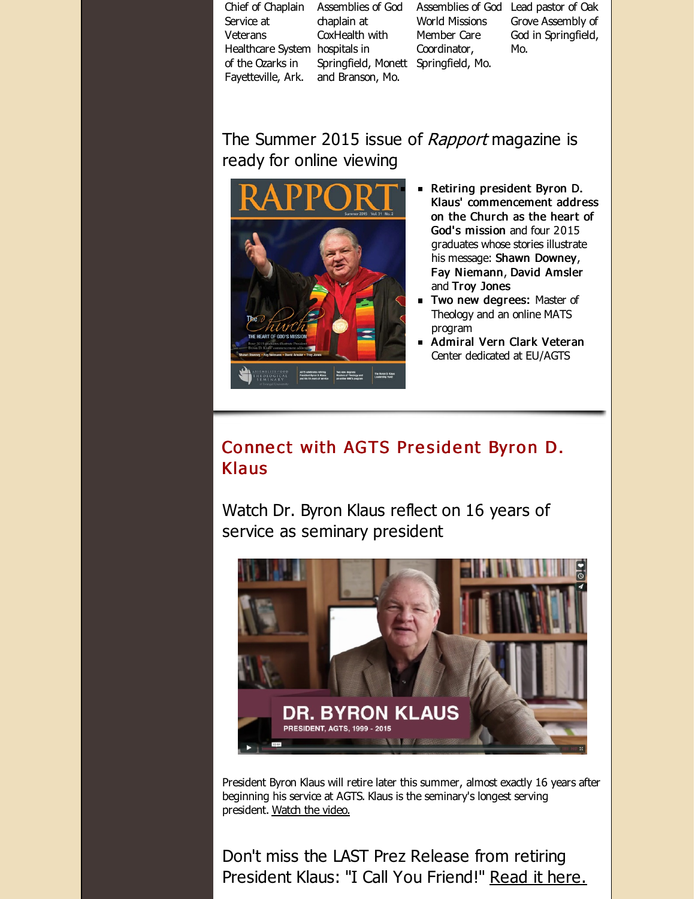Chief of Chaplain Assemblies of God Assemblies of God Lead pastor of Oak Service at Veterans Healthcare System hospitals in of the Ozarks in Fayetteville, Ark. and Branson, Mo. chaplain at CoxHealth with Springfield, Monett Springfield, Mo. World Missions Member Care Coordinator, Grove Assembly of God in Springfield, Mo.

The Summer 2015 issue of Rapport magazine is ready for online viewing



- Retiring president Byron D. Klaus' commencement address on the Church as the heart of God's mission and four 2015 graduates whose stories illustrate his message: Shawn Downey, Fay Niemann, David Amsler and Troy Jones
- **Two new degrees: Master of** Theology and an online MATS program
- Admiral Vern Clark Veteran Center dedicated at EU/AGTS

#### Connect with AGTS President Byron D. Klaus

Watch Dr. Byron Klaus reflect on 16 years of service as seminary president



President Byron Klaus will retire later this summer, almost exactly 16 years after beginning his service at AGTS. Klaus is the seminary's longest serving president. [Watch](http://r20.rs6.net/tn.jsp?f=001C0lBCH1btSxn-XjbGQ1Cv2tQQhMGfgCRFiCmFFypQag_nBHdgWnEcxhdPEq-BmjL8QGdVom0obrCXJI-fzOsq0jBpW7cpml2pD14PsqInD4hQ5lkmwAMbEZm7EbK6GrDKh70QZpHqWNQ39TaGQ2I6rjhJPOiJDRSWLhGbb63B6Ddkqd-f2HKVlOzMnDfEsg_LXm8mZd-SV6teISXjXZobqhCw7iTShtebT9u40x1QqOqca9gzkY_RDcDX1QTjOzbBcimA1T919E=&c=&ch=) the video.

Don't miss the LAST Prez Release from retiring President Klaus: "I Call You Friend!" Read it [here.](http://r20.rs6.net/tn.jsp?f=001C0lBCH1btSxn-XjbGQ1Cv2tQQhMGfgCRFiCmFFypQag_nBHdgWnEcxhdPEq-BmjLH-dxbzUipSr9oAZgg2qLzCmBZ_ZMN40XqQKzu9-FL5uYXbSBzBQJmUftBWzNICcDR6-d69FpNhviJbz-NwuPVikndpP_ZfO0J-Z8oBWdbRortdbNEgGX5Z8vslh39mn_Cr5XtcGI77fOzQpxMosWMMTU8Ybs15WicQuU-1ZxnkrCWVa-tyTlprpFdROuRW8M&c=&ch=)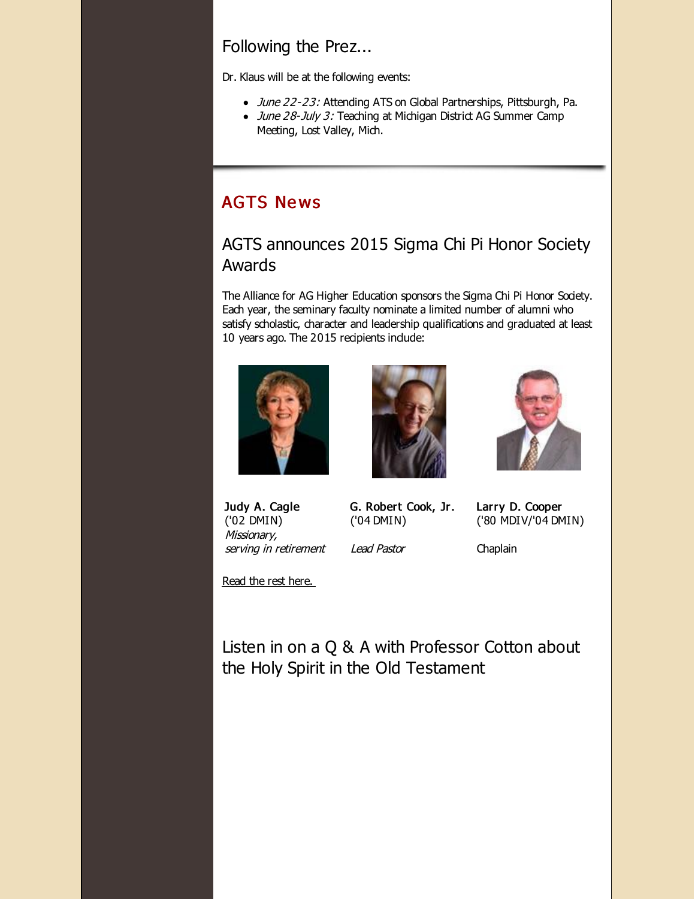Following the Prez...

Dr. Klaus will be at the following events:

- June 22-23: Attending ATS on Global Partnerships, Pittsburgh, Pa.
- June 28-July 3: Teaching at Michigan District AG Summer Camp Meeting, Lost Valley, Mich.

## **AGTS News**

### AGTS announces 2015 Sigma Chi Pi Honor Society Awards

The Alliance for AG Higher Education sponsors the Sigma Chi Pi Honor Society. Each year, the seminary faculty nominate a limited number of alumni who satisfy scholastic, character and leadership qualifications and graduated at least 10 years ago. The 2015 recipients indude:







Judy A. Cagle ('02 DMIN) Missionary, serving in retirement G. Robert Cook, Jr. ('04 DMIN) Lead Pastor

Chaplain

Larry D. Cooper ('80 MDIV/'04 DMIN)

Read the rest [here.](http://r20.rs6.net/tn.jsp?f=001C0lBCH1btSxn-XjbGQ1Cv2tQQhMGfgCRFiCmFFypQag_nBHdgWnEcxhdPEq-BmjLZJUAg8mMDz1GNAvgX_UeyC1WxXTSTa-Sh96VA7qG3P-qG4orSFiUq8BCCXYPhomCjXvnQTzn-z7y3lC6hX8dBNfL1hoKmHJnK059wlHLeGhHQmwwz2XOe3bTbDoq5j91WCs-q_WV2Ve99QIunJZ1fhyyWwPgQ0Aa&c=&ch=)

Listen in on a Q & A with Professor Cotton about the Holy Spirit in the Old Testament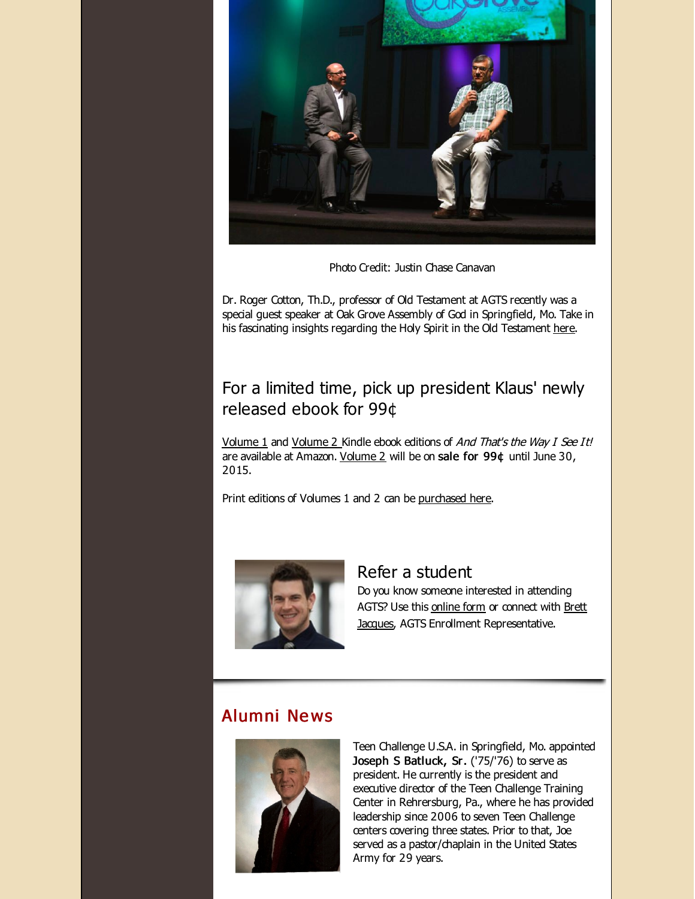

Photo Credit: Justin Chase Canavan

Dr. Roger Cotton, Th.D., professor of Old Testament at AGTS recently was a special guest speaker at Oak Grove Assembly of God in Springfield, Mo. Take in his fascinating insights regarding the Holy Spirit in the Old Testament [here](http://r20.rs6.net/tn.jsp?f=001C0lBCH1btSxn-XjbGQ1Cv2tQQhMGfgCRFiCmFFypQag_nBHdgWnEcxhdPEq-BmjLspY-CREc53zJogH5z2MHxQ6G_M9KuMpBWw5bq6__gqVKVnlEF1ftNJlBOpdv8rPEd5jetTvyWHxQjbl7LXnnp9tf4yKt1wHCPh1Sjs1gcAdP6ALsJlBNrxGq9bruygWy89CeTsdPy-hjYO3GgFxRGZj6gboy8oRW7PD54D5A8D05QQvnHtZkHg==&c=&ch=).

#### For a limited time, pick up president Klaus' newly released ebook for 99¢

[Volume](http://r20.rs6.net/tn.jsp?f=001C0lBCH1btSxn-XjbGQ1Cv2tQQhMGfgCRFiCmFFypQag_nBHdgWnEcxhdPEq-BmjLNIbiIBBTYPSx70N5fxLrJJQCQArjyLGby8htxHbFNzbpPFaTfn5tDazkJDdsMtbRMrbfEA3wai7DKvZOhgtMG3y3XvR69HAmZdqX5xquL8Nl-L8cxrZHhRpTYggrbAbGDoCB2WO2W-0uZUc-q5Rjgzqv952wrMAfBnnDdSlgo0CA1yIgBGtv4z5L5TN0o5uMaOmyPV_MDlDOID9HoCOlj9KMfbsdwG8Of0fI81096OPkNzmLgto_opgdcUasrMfTbz-VGOZTJ2FUeNp7ekWPkPKTFBxHAboQbxh9LMnTG-RlOIZnND5C-70mrnXN2qKKgg0HE8RBO5BtK3rfYDB0EKay8dBpDDxi&c=&ch=) 1 and Volume 2 Kindle ebook editions of And That's the Way I See It! are available at Amazon. [Volume](http://r20.rs6.net/tn.jsp?f=001C0lBCH1btSxn-XjbGQ1Cv2tQQhMGfgCRFiCmFFypQag_nBHdgWnEcxhdPEq-BmjLNIbiIBBTYPSx70N5fxLrJJQCQArjyLGby8htxHbFNzbpPFaTfn5tDazkJDdsMtbRMrbfEA3wai7DKvZOhgtMG3y3XvR69HAmZdqX5xquL8Nl-L8cxrZHhRpTYggrbAbGDoCB2WO2W-0uZUc-q5Rjgzqv952wrMAfBnnDdSlgo0CA1yIgBGtv4z5L5TN0o5uMaOmyPV_MDlDOID9HoCOlj9KMfbsdwG8Of0fI81096OPkNzmLgto_opgdcUasrMfTbz-VGOZTJ2FUeNp7ekWPkPKTFBxHAboQbxh9LMnTG-RlOIZnND5C-70mrnXN2qKKgg0HE8RBO5BtK3rfYDB0EKay8dBpDDxi&c=&ch=) 2 will be on sale for 99¢ until June 30, 2015.

Print editions of Volumes 1 and 2 can be [purchased](http://r20.rs6.net/tn.jsp?f=001C0lBCH1btSxn-XjbGQ1Cv2tQQhMGfgCRFiCmFFypQag_nBHdgWnEcxhdPEq-BmjLBl9lZs-VjZ24lyKjWBTY_dcOhOlIrcLPIYFX2MJMF8B0lCP-8jl8bygCxxOQ0ls7CP2gbt9Z-2ENiMyBbofniJou7dYFjwpO6cAO5ockmvJINtC8qqwSBUdQf1GzEqol&c=&ch=) here.



## Refer a student Do you know someone interested in attending

AGTS? Use this [online](http://r20.rs6.net/tn.jsp?f=001C0lBCH1btSxn-XjbGQ1Cv2tQQhMGfgCRFiCmFFypQag_nBHdgWnEc9YfvoVYcVDWOPRKDdZf2TME3a_nG95gsyUQF9SHsJiUEE2SYfGqpuFC1CiLd5XWMDdZU8cCAWrvcNHSIDPyrE5VBK-iDS3IJldRrxVm7QtLXw0J31Sl9aFuBrwyVWdcQcyh-hY_PkVd&c=&ch=) form or connect with Brett **Jacques, AGTS Enrollment [Representative.](mailto:jacquesb@evangel.edu)** 

#### Alumni Ne ws



Teen Challenge U.S.A. in Springfield, Mo. appointed Joseph S Batluck, Sr. ('75/'76) to serve as president. He currently is the president and executive director of the Teen Challenge Training Center in Rehrersburg, Pa., where he has provided leadership since 2006 to seven Teen Challenge centers covering three states. Prior to that, Joe served as a pastor/chaplain in the United States Army for 29 years.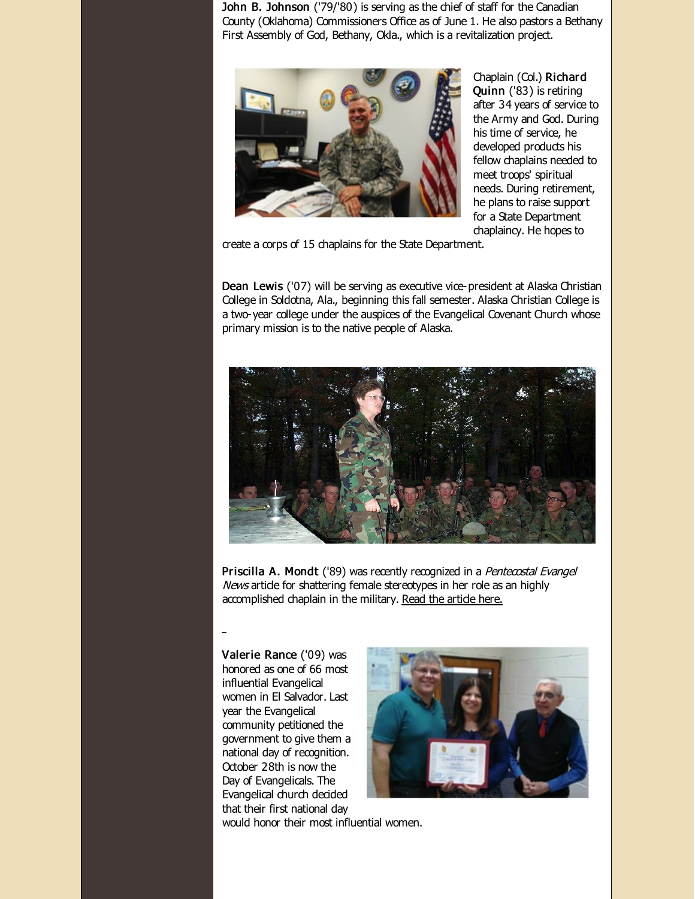John B. Johnson ('79/'80) is serving as the chief of staff for the Canadian County (Oklahoma) Commissioners Office as of June 1. He also pastors a Bethany First Assembly of God, Bethany, Okla., which is a revitalization project.



Chaplain (Col.) Richard Quinn ('83) is retiring after 34 years of service to the Army and God. During his time of service, he developed products his fellow chaplains needed to meet troops' spiritual needs. During retirement, he plans to raise support for a State Department chaplaincy. He hopes to

create a corps of 15 chaplains for the State Department.

Dean Lewis ('07) will be serving as executive vice-president at Alaska Christian College in Soldotna, Ala., beginning this fall semester. Alaska Christian College is a two-year college under the auspices of the Evangelical Covenant Church whose primary mission is to the native people of Alaska.



Priscilla A. Mondt ('89) was recently recognized in a Pentecostal Evangel News artide for shattering female stereotypes in her role as an highly accomplished chaplain in the military. Read the [article](http://r20.rs6.net/tn.jsp?f=001C0lBCH1btSxn-XjbGQ1Cv2tQQhMGfgCRFiCmFFypQag_nBHdgWnEcxhdPEq-BmjLqJ2kogGJCjoJYTMnK1nmovfriRDiIyvkvUmuOsghcBdz8IDC6XXRexOxRrJJv5yyt_9WHpP2JmjZDcBLzQT30MAcDtbFYeOJmgEbUIFPnhW251kQHqg02SOksZatFpFTJ4X5dGst_gqPB9yMLw1mxqByyKwV2PWE&c=&ch=) here.

Valerie Rance ('09) was honored as one of 66 most influential Evangelical women in El Salvador. Last year the Evangelical community petitioned the government to give them a national day of recognition. October 28th is now the Day of Evangelicals. The Evangelical church decided that their first national day



would honor their most influential women.